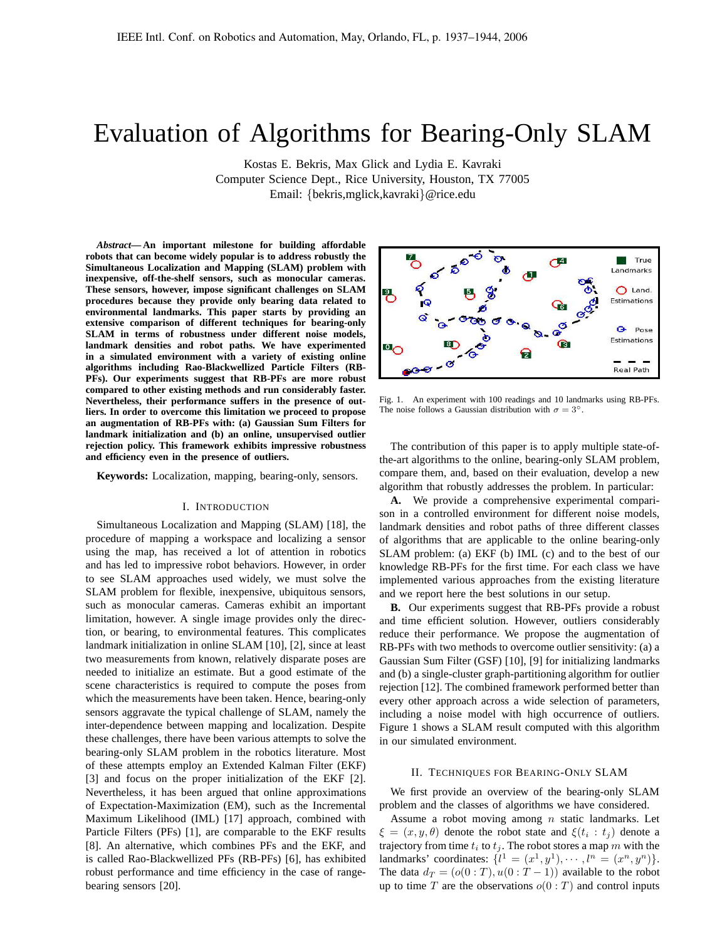# Evaluation of Algorithms for Bearing-Only SLAM

Kostas E. Bekris, Max Glick and Lydia E. Kavraki Computer Science Dept., Rice University, Houston, TX 77005 Email: {bekris,mglick,kavraki}@rice.edu

*Abstract***— An important milestone for building affordable robots that can become widely popular is to address robustly the Simultaneous Localization and Mapping (SLAM) problem with inexpensive, off-the-shelf sensors, such as monocular cameras. These sensors, however, impose significant challenges on SLAM procedures because they provide only bearing data related to environmental landmarks. This paper starts by providing an extensive comparison of different techniques for bearing-only SLAM in terms of robustness under different noise models, landmark densities and robot paths. We have experimented in a simulated environment with a variety of existing online algorithms including Rao-Blackwellized Particle Filters (RB-PFs). Our experiments suggest that RB-PFs are more robust compared to other existing methods and run considerably faster. Nevertheless, their performance suffers in the presence of outliers. In order to overcome this limitation we proceed to propose an augmentation of RB-PFs with: (a) Gaussian Sum Filters for landmark initialization and (b) an online, unsupervised outlier rejection policy. This framework exhibits impressive robustness and efficiency even in the presence of outliers.**

**Keywords:** Localization, mapping, bearing-only, sensors.

#### I. INTRODUCTION

Simultaneous Localization and Mapping (SLAM) [18], the procedure of mapping a workspace and localizing a sensor using the map, has received a lot of attention in robotics and has led to impressive robot behaviors. However, in order to see SLAM approaches used widely, we must solve the SLAM problem for flexible, inexpensive, ubiquitous sensors, such as monocular cameras. Cameras exhibit an important limitation, however. A single image provides only the direction, or bearing, to environmental features. This complicates landmark initialization in online SLAM [10], [2], since at least two measurements from known, relatively disparate poses are needed to initialize an estimate. But a good estimate of the scene characteristics is required to compute the poses from which the measurements have been taken. Hence, bearing-only sensors aggravate the typical challenge of SLAM, namely the inter-dependence between mapping and localization. Despite these challenges, there have been various attempts to solve the bearing-only SLAM problem in the robotics literature. Most of these attempts employ an Extended Kalman Filter (EKF) [3] and focus on the proper initialization of the EKF [2]. Nevertheless, it has been argued that online approximations of Expectation-Maximization (EM), such as the Incremental Maximum Likelihood (IML) [17] approach, combined with Particle Filters (PFs) [1], are comparable to the EKF results [8]. An alternative, which combines PFs and the EKF, and is called Rao-Blackwellized PFs (RB-PFs) [6], has exhibited robust performance and time efficiency in the case of rangebearing sensors [20].



Fig. 1. An experiment with 100 readings and 10 landmarks using RB-PFs. The noise follows a Gaussian distribution with  $\sigma = 3^{\circ}$ .

The contribution of this paper is to apply multiple state-ofthe-art algorithms to the online, bearing-only SLAM problem, compare them, and, based on their evaluation, develop a new algorithm that robustly addresses the problem. In particular:

**A.** We provide a comprehensive experimental comparison in a controlled environment for different noise models, landmark densities and robot paths of three different classes of algorithms that are applicable to the online bearing-only SLAM problem: (a) EKF (b) IML (c) and to the best of our knowledge RB-PFs for the first time. For each class we have implemented various approaches from the existing literature and we report here the best solutions in our setup.

**B.** Our experiments suggest that RB-PFs provide a robust and time efficient solution. However, outliers considerably reduce their performance. We propose the augmentation of RB-PFs with two methods to overcome outlier sensitivity: (a) a Gaussian Sum Filter (GSF) [10], [9] for initializing landmarks and (b) a single-cluster graph-partitioning algorithm for outlier rejection [12]. The combined framework performed better than every other approach across a wide selection of parameters, including a noise model with high occurrence of outliers. Figure 1 shows a SLAM result computed with this algorithm in our simulated environment.

# II. TECHNIQUES FOR BEARING-ONLY SLAM

We first provide an overview of the bearing-only SLAM problem and the classes of algorithms we have considered.

Assume a robot moving among  $n$  static landmarks. Let  $\xi = (x, y, \theta)$  denote the robot state and  $\xi(t_i : t_i)$  denote a trajectory from time  $t_i$  to  $t_j$ . The robot stores a map m with the landmarks' coordinates:  $\{l^1 = (x^1, y^1), \dots, l^n = (x^n, y^n)\}.$ The data  $d_T = (o(0:T), u(0:T-1))$  available to the robot up to time T are the observations  $o(0:T)$  and control inputs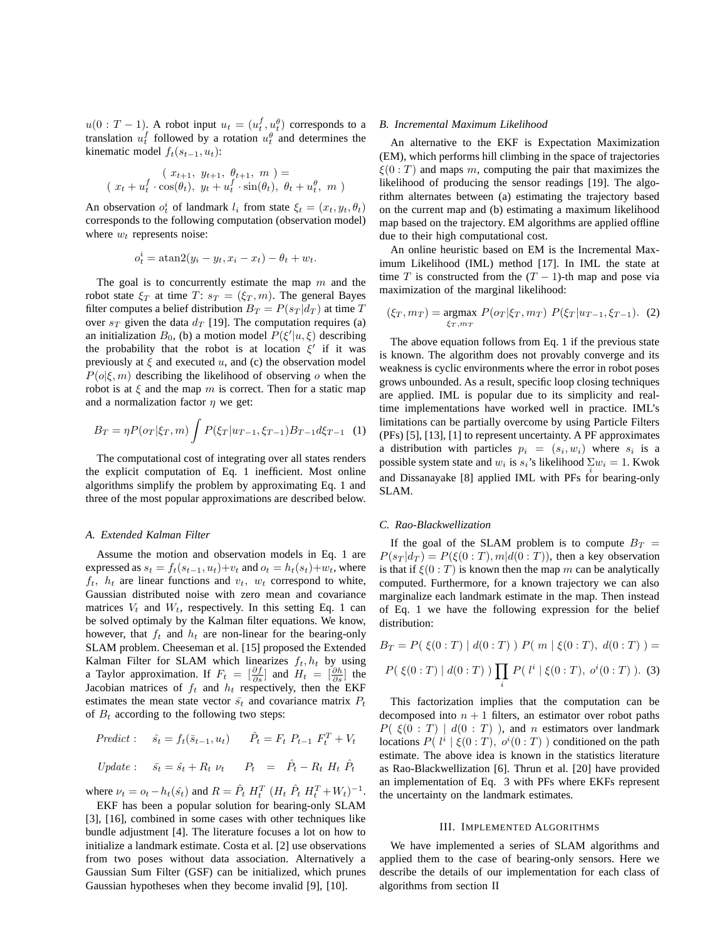$u(0:T-1)$ . A robot input  $u_t = (u_t^f, u_t^{\theta})$  corresponds to a translation  $u_t^f$  followed by a rotation  $u_t^{\theta}$  and determines the kinematic model  $f_t(s_{t-1}, u_t)$ :

$$
(x_{t+1}, y_{t+1}, \theta_{t+1}, m) = (x_t + u_t^f \cdot \cos(\theta_t), y_t + u_t^f \cdot \sin(\theta_t), \theta_t + u_t^{\theta}, m)
$$

An observation  $o_t^i$  of landmark  $l_i$  from state  $\xi_t = (x_t, y_t, \theta_t)$ corresponds to the following computation (observation model) where  $w_t$  represents noise:

$$
o_t^i = \operatorname{atan2}(y_i - y_t, x_i - x_t) - \theta_t + w_t.
$$

The goal is to concurrently estimate the map  $m$  and the robot state  $\xi_T$  at time T:  $s_T = (\xi_T, m)$ . The general Bayes filter computes a belief distribution  $B_T = P(s_T | d_T)$  at time T over  $s_T$  given the data  $d_T$  [19]. The computation requires (a) an initialization  $B_0$ , (b) a motion model  $P(\xi'|u, \xi)$  describing the probability that the robot is at location  $\xi'$  if it was previously at  $\xi$  and executed u, and (c) the observation model  $P(o|\xi, m)$  describing the likelihood of observing o when the robot is at  $\xi$  and the map m is correct. Then for a static map and a normalization factor  $\eta$  we get:

$$
B_T = \eta P(o_T | \xi_T, m) \int P(\xi_T | u_{T-1}, \xi_{T-1}) B_{T-1} d\xi_{T-1} \tag{1}
$$

The computational cost of integrating over all states renders the explicit computation of Eq. 1 inefficient. Most online algorithms simplify the problem by approximating Eq. 1 and three of the most popular approximations are described below.

#### *A. Extended Kalman Filter*

Assume the motion and observation models in Eq. 1 are expressed as  $s_t = f_t(s_{t-1}, u_t) + v_t$  and  $o_t = h_t(s_t) + w_t$ , where  $f_t$ ,  $h_t$  are linear functions and  $v_t$ ,  $w_t$  correspond to white, Gaussian distributed noise with zero mean and covariance matrices  $V_t$  and  $W_t$ , respectively. In this setting Eq. 1 can be solved optimaly by the Kalman filter equations. We know, however, that  $f_t$  and  $h_t$  are non-linear for the bearing-only SLAM problem. Cheeseman et al. [15] proposed the Extended Kalman Filter for SLAM which linearizes  $f_t$ ,  $h_t$  by using a Taylor approximation. If  $F_t = \left[\frac{\partial f}{\partial s}\right]$  and  $H_t = \left[\frac{\partial h}{\partial s}\right]$  the Jacobian matrices of  $f_t$  and  $h_t$  respectively, then the EKF estimates the mean state vector  $\bar{s}_t$  and covariance matrix  $P_t$ of  $B_t$  according to the following two steps:

$$
Predict: \quad \hat{s_t} = f_t(\bar{s}_{t-1}, u_t) \qquad \hat{P}_t = F_t \ P_{t-1} \ F_t^T + V_t
$$
\n
$$
Update: \quad \bar{s_t} = \hat{s_t} + R_t \ \nu_t \qquad P_t = \hat{P}_t - R_t \ H_t \ \hat{P}_t
$$

where  $\nu_t = o_t - h_t(\hat{s_t})$  and  $R = \hat{P}_t H_t^T (H_t \hat{P}_t H_t^T + W_t)^{-1}$ .

EKF has been a popular solution for bearing-only SLAM [3], [16], combined in some cases with other techniques like bundle adjustment [4]. The literature focuses a lot on how to initialize a landmark estimate. Costa et al. [2] use observations from two poses without data association. Alternatively a Gaussian Sum Filter (GSF) can be initialized, which prunes Gaussian hypotheses when they become invalid [9], [10].

#### *B. Incremental Maximum Likelihood*

An alternative to the EKF is Expectation Maximization (EM), which performs hill climbing in the space of trajectories  $\xi(0:T)$  and maps m, computing the pair that maximizes the likelihood of producing the sensor readings [19]. The algorithm alternates between (a) estimating the trajectory based on the current map and (b) estimating a maximum likelihood map based on the trajectory. EM algorithms are applied offline due to their high computational cost.

An online heuristic based on EM is the Incremental Maximum Likelihood (IML) method [17]. In IML the state at time T is constructed from the  $(T - 1)$ -th map and pose via maximization of the marginal likelihood:

$$
(\xi_T, m_T) = \underset{\xi_T, m_T}{\text{argmax}} \ P(o_T | \xi_T, m_T) \ P(\xi_T | u_{T-1}, \xi_{T-1}). \tag{2}
$$

The above equation follows from Eq. 1 if the previous state is known. The algorithm does not provably converge and its weakness is cyclic environments where the error in robot poses grows unbounded. As a result, specific loop closing techniques are applied. IML is popular due to its simplicity and realtime implementations have worked well in practice. IML's limitations can be partially overcome by using Particle Filters (PFs) [5], [13], [1] to represent uncertainty. A PF approximates a distribution with particles  $p_i = (s_i, w_i)$  where  $s_i$  is a possible system state and  $w_i$  is  $s_i$ 's likelihood  $\Sigma w_i = 1$ . Kwok and Dissanayake [8] applied IML with PFs for bearing-only SLAM.

#### *C. Rao-Blackwellization*

If the goal of the SLAM problem is to compute  $B_T =$  $P(s_T | d_T) = P(\xi(0:T), m | d(0:T))$ , then a key observation is that if  $\xi(0:T)$  is known then the map m can be analytically computed. Furthermore, for a known trajectory we can also marginalize each landmark estimate in the map. Then instead of Eq. 1 we have the following expression for the belief distribution:

$$
B_T = P(\xi(0:T) | d(0:T)) P(m | \xi(0:T), d(0:T)) =
$$
  
 
$$
P(\xi(0:T) | d(0:T)) \prod_i P(l^i | \xi(0:T), o^i(0:T)).
$$
 (3)

This factorization implies that the computation can be decomposed into  $n + 1$  filters, an estimator over robot paths  $P(\xi(0:T) | d(0:T))$ , and n estimators over landmark locations  $P(\ell^i | \xi(0:T), o^i(0:T))$  conditioned on the path estimate. The above idea is known in the statistics literature as Rao-Blackwellization [6]. Thrun et al. [20] have provided an implementation of Eq. 3 with PFs where EKFs represent the uncertainty on the landmark estimates.

#### III. IMPLEMENTED ALGORITHMS

We have implemented a series of SLAM algorithms and applied them to the case of bearing-only sensors. Here we describe the details of our implementation for each class of algorithms from section II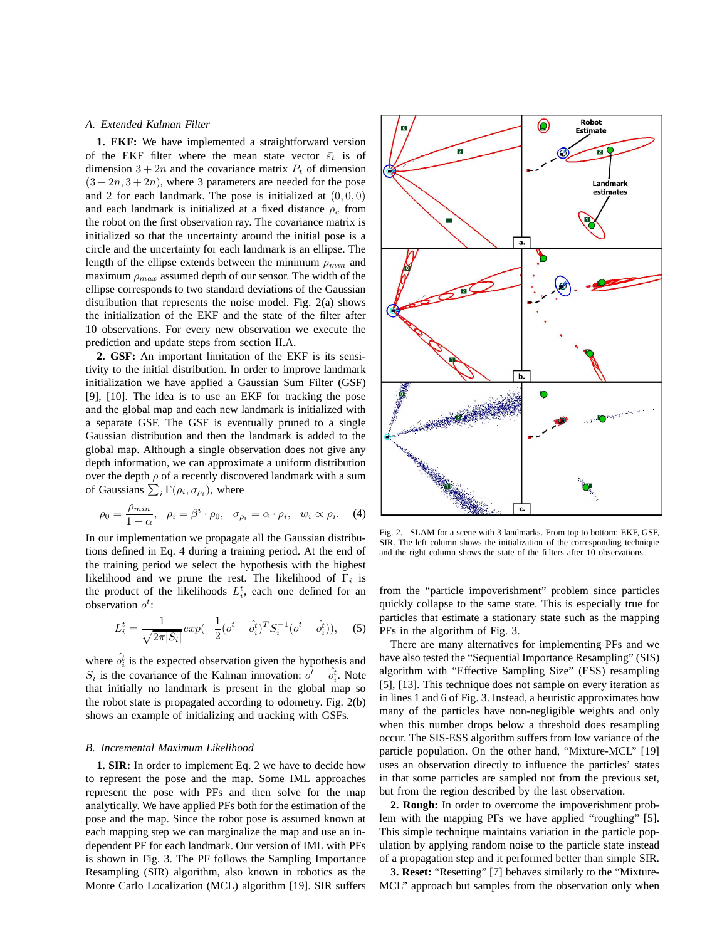#### *A. Extended Kalman Filter*

**1. EKF:** We have implemented a straightforward version of the EKF filter where the mean state vector  $\bar{s}_t$  is of dimension  $3 + 2n$  and the covariance matrix  $P_t$  of dimension  $(3 + 2n, 3 + 2n)$ , where 3 parameters are needed for the pose and 2 for each landmark. The pose is initialized at  $(0, 0, 0)$ and each landmark is initialized at a fixed distance  $\rho_c$  from the robot on the first observation ray. The covariance matrix is initialized so that the uncertainty around the initial pose is a circle and the uncertainty for each landmark is an ellipse. The length of the ellipse extends between the minimum  $\rho_{min}$  and maximum  $\rho_{max}$  assumed depth of our sensor. The width of the ellipse corresponds to two standard deviations of the Gaussian distribution that represents the noise model. Fig. 2(a) shows the initialization of the EKF and the state of the filter after 10 observations. For every new observation we execute the prediction and update steps from section II.A.

**2. GSF:** An important limitation of the EKF is its sensitivity to the initial distribution. In order to improve landmark initialization we have applied a Gaussian Sum Filter (GSF) [9], [10]. The idea is to use an EKF for tracking the pose and the global map and each new landmark is initialized with a separate GSF. The GSF is eventually pruned to a single Gaussian distribution and then the landmark is added to the global map. Although a single observation does not give any depth information, we can approximate a uniform distribution over the depth  $\rho$  of a recently discovered landmark with a sum of Gaussians  $\sum_i \Gamma(\rho_i, \sigma_{\rho_i})$ , where

$$
\rho_0 = \frac{\rho_{min}}{1 - \alpha}, \quad \rho_i = \beta^i \cdot \rho_0, \quad \sigma_{\rho_i} = \alpha \cdot \rho_i, \quad w_i \propto \rho_i. \tag{4}
$$

In our implementation we propagate all the Gaussian distributions defined in Eq. 4 during a training period. At the end of the training period we select the hypothesis with the highest likelihood and we prune the rest. The likelihood of  $\Gamma_i$  is the product of the likelihoods  $L_i^t$ , each one defined for an observation  $o^t$ :

$$
L_i^t = \frac{1}{\sqrt{2\pi|S_i|}} exp(-\frac{1}{2}(\sigma^t - \hat{\sigma}_i^t)^T S_i^{-1} (\sigma^t - \hat{\sigma}_i^t)),
$$
 (5)

where  $\hat{o}_i^t$  is the expected observation given the hypothesis and  $S_i$  is the covariance of the Kalman innovation:  $o^t - \hat{o}_i^t$ . Note that initially no landmark is present in the global map so the robot state is propagated according to odometry. Fig. 2(b) shows an example of initializing and tracking with GSFs.

## *B. Incremental Maximum Likelihood*

**1. SIR:** In order to implement Eq. 2 we have to decide how to represent the pose and the map. Some IML approaches represent the pose with PFs and then solve for the map analytically. We have applied PFs both for the estimation of the pose and the map. Since the robot pose is assumed known at each mapping step we can marginalize the map and use an independent PF for each landmark. Our version of IML with PFs is shown in Fig. 3. The PF follows the Sampling Importance Resampling (SIR) algorithm, also known in robotics as the Monte Carlo Localization (MCL) algorithm [19]. SIR suffers



Fig. 2. SLAM for a scene with 3 landmarks. From top to bottom: EKF, GSF, SIR. The left column shows the initialization of the corresponding technique and the right column shows the state of the filters after 10 observations.

from the "particle impoverishment" problem since particles quickly collapse to the same state. This is especially true for particles that estimate a stationary state such as the mapping PFs in the algorithm of Fig. 3.

There are many alternatives for implementing PFs and we have also tested the "Sequential Importance Resampling" (SIS) algorithm with "Effective Sampling Size" (ESS) resampling [5], [13]. This technique does not sample on every iteration as in lines 1 and 6 of Fig. 3. Instead, a heuristic approximates how many of the particles have non-negligible weights and only when this number drops below a threshold does resampling occur. The SIS-ESS algorithm suffers from low variance of the particle population. On the other hand, "Mixture-MCL" [19] uses an observation directly to influence the particles' states in that some particles are sampled not from the previous set, but from the region described by the last observation.

**2. Rough:** In order to overcome the impoverishment problem with the mapping PFs we have applied "roughing" [5]. This simple technique maintains variation in the particle population by applying random noise to the particle state instead of a propagation step and it performed better than simple SIR.

**3. Reset:** "Resetting" [7] behaves similarly to the "Mixture-MCL" approach but samples from the observation only when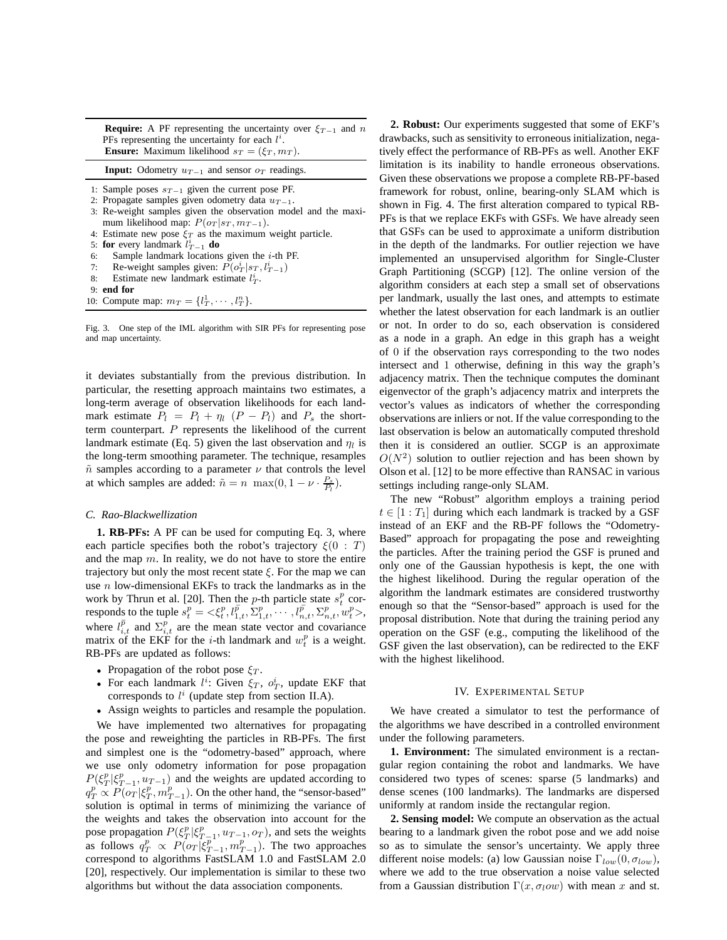**Require:** A PF representing the uncertainty over  $\xi_{T-1}$  and n PFs representing the uncertainty for each  $l^i$ . **Ensure:** Maximum likelihood  $s_T = (\xi_T, m_T)$ .

**Input:** Odometry  $u_{T-1}$  and sensor  $o_T$  readings.

- 1: Sample poses  $s_{T-1}$  given the current pose PF.<br>2: Propagate samples given odometry data  $u_{T-1}$ .
- Propagate samples given odometry data  $u_{T-1}$ .
- 3: Re-weight samples given the observation model and the maximum likelihood map:  $P(o_T | s_T, m_{T-1}).$
- 4: Estimate new pose  $\xi_T$  as the maximum weight particle.
- 5: **for** every landmark  $l_{T-1}^i$  **do**
- 6: Sample landmark locations given the i-th PF.
- 7: Re-weight samples given:  $P(o_T^i | s_T, l_{T-1}^i)$
- 8: Estimate new landmark estimate  $l_T^i$ .
- 9: **end for**
- 10: Compute map:  $m_T = \{l_T^1, \dots, l_T^n\}.$

Fig. 3. One step of the IML algorithm with SIR PFs for representing pose and map uncertainty.

it deviates substantially from the previous distribution. In particular, the resetting approach maintains two estimates, a long-term average of observation likelihoods for each landmark estimate  $P_l = P_l + \eta_l (P - P_l)$  and  $P_s$  the shortterm counterpart. P represents the likelihood of the current landmark estimate (Eq. 5) given the last observation and  $\eta_l$  is the long-term smoothing parameter. The technique, resamples  $\tilde{n}$  samples according to a parameter  $\nu$  that controls the level at which samples are added:  $\tilde{n} = n \, \max(0, 1 - \nu \cdot \frac{P_s}{P_l}).$ 

# *C. Rao-Blackwellization*

**1. RB-PFs:** A PF can be used for computing Eq. 3, where each particle specifies both the robot's trajectory  $\xi(0:T)$ and the map  $m$ . In reality, we do not have to store the entire trajectory but only the most recent state  $\xi$ . For the map we can use  $n$  low-dimensional EKFs to track the landmarks as in the work by Thrun et al. [20]. Then the *p*-th particle state  $s_t^p$  corresponds to the tuple  $s_t^p = \langle \xi_t^p, l_{1,t}^p, \Sigma_{1,t}^p, \cdots, l_{n,t}^p, \Sigma_{n,t}^p, w_t^p \rangle$ where  $l_{i,t}^{\overline{p}}$  and  $\Sigma_{i,t}^{\overline{p}}$  are the mean state vector and covariance matrix of the EKF for the *i*-th landmark and  $w_t^p$  is a weight. RB-PFs are updated as follows:

- Propagation of the robot pose  $\xi_T$ .
- For each landmark  $l^i$ : Given  $\xi_T$ ,  $o_T^i$ , update EKF that corresponds to  $l^i$  (update step from section II.A).
- Assign weights to particles and resample the population.

We have implemented two alternatives for propagating the pose and reweighting the particles in RB-PFs. The first and simplest one is the "odometry-based" approach, where we use only odometry information for pose propagation  $P(\xi_T^p | \xi_{T-1}^p, u_{T-1})$  and the weights are updated according to  $q_T^p \propto P(\sigma_T|\xi_T^p, m_{T-1}^p)$ . On the other hand, the "sensor-based" solution is optimal in terms of minimizing the variance of the weights and takes the observation into account for the pose propagation  $P(\xi_T^p | \xi_{T-1}^p, u_{T-1}, o_T)$ , and sets the weights as follows  $q_T^p \propto P(\sigma_T | \xi_{T-1}^p, m_{T-1}^p)$ . The two approaches correspond to algorithms FastSLAM 1.0 and FastSLAM 2.0 [20], respectively. Our implementation is similar to these two algorithms but without the data association components.

**2. Robust:** Our experiments suggested that some of EKF's drawbacks, such as sensitivity to erroneous initialization, negatively effect the performance of RB-PFs as well. Another EKF limitation is its inability to handle erroneous observations. Given these observations we propose a complete RB-PF-based framework for robust, online, bearing-only SLAM which is shown in Fig. 4. The first alteration compared to typical RB-PFs is that we replace EKFs with GSFs. We have already seen that GSFs can be used to approximate a uniform distribution in the depth of the landmarks. For outlier rejection we have implemented an unsupervised algorithm for Single-Cluster Graph Partitioning (SCGP) [12]. The online version of the algorithm considers at each step a small set of observations per landmark, usually the last ones, and attempts to estimate whether the latest observation for each landmark is an outlier or not. In order to do so, each observation is considered as a node in a graph. An edge in this graph has a weight of 0 if the observation rays corresponding to the two nodes intersect and 1 otherwise, defining in this way the graph's adjacency matrix. Then the technique computes the dominant eigenvector of the graph's adjacency matrix and interprets the vector's values as indicators of whether the corresponding observations are inliers or not. If the value corresponding to the last observation is below an automatically computed threshold then it is considered an outlier. SCGP is an approximate  $O(N^2)$  solution to outlier rejection and has been shown by Olson et al. [12] to be more effective than RANSAC in various settings including range-only SLAM.

The new "Robust" algorithm employs a training period  $t \in [1 : T_1]$  during which each landmark is tracked by a GSF instead of an EKF and the RB-PF follows the "Odometry-Based" approach for propagating the pose and reweighting the particles. After the training period the GSF is pruned and only one of the Gaussian hypothesis is kept, the one with the highest likelihood. During the regular operation of the algorithm the landmark estimates are considered trustworthy enough so that the "Sensor-based" approach is used for the proposal distribution. Note that during the training period any operation on the GSF (e.g., computing the likelihood of the GSF given the last observation), can be redirected to the EKF with the highest likelihood.

## IV. EXPERIMENTAL SETUP

We have created a simulator to test the performance of the algorithms we have described in a controlled environment under the following parameters.

**1. Environment:** The simulated environment is a rectangular region containing the robot and landmarks. We have considered two types of scenes: sparse (5 landmarks) and dense scenes (100 landmarks). The landmarks are dispersed uniformly at random inside the rectangular region.

**2. Sensing model:** We compute an observation as the actual bearing to a landmark given the robot pose and we add noise so as to simulate the sensor's uncertainty. We apply three different noise models: (a) low Gaussian noise  $\Gamma_{low}(0, \sigma_{low})$ , where we add to the true observation a noise value selected from a Gaussian distribution  $\Gamma(x, \sigma_l \circ w)$  with mean x and st.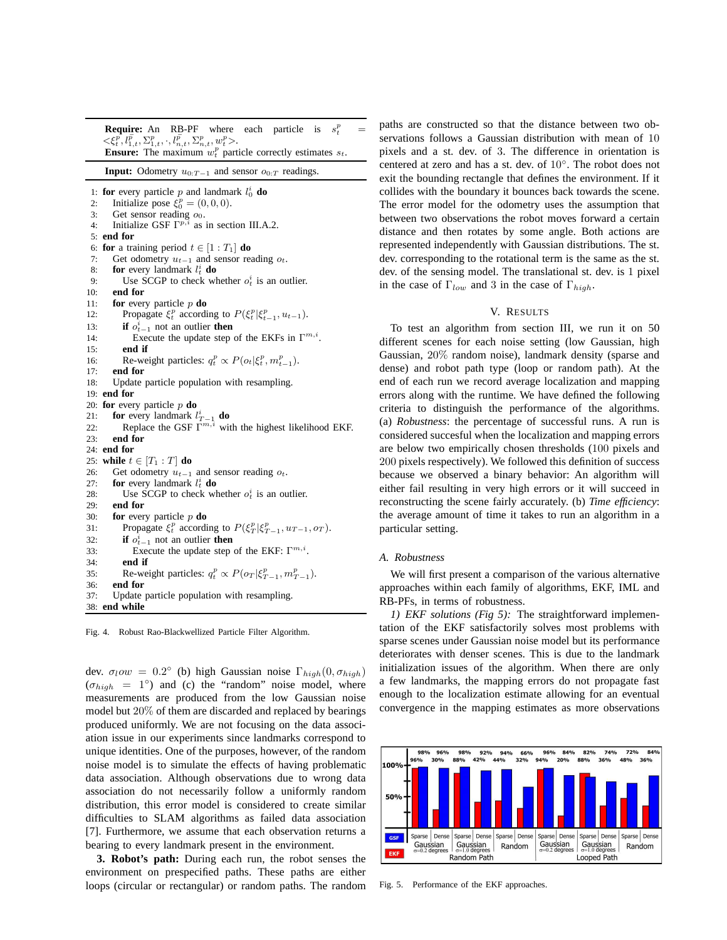**Require:** An RB-PF where each particle is  $s_t^p$  $\overline{ }$  $\langle \xi_t^p, l_{1,t}^{\overline{p}}, \Sigma_{1,t}^p, \cdot, l_{n,t}^{\overline{p}}, \Sigma_{n,t}^p, w_t^p \rangle.$ **Ensure:** The maximum  $w_t^p$  particle correctly estimates  $s_t$ .

**Input:** Odometry  $u_{0:T-1}$  and sensor  $o_{0:T}$  readings.

1: **for** every particle p and landmark  $l_0^i$  **do** 2: Initialize pose  $\hat{\xi}_0^p = (0, 0, 0)$ . 3: Get sensor reading  $o_0$ . 4: Initialize GSF  $\Gamma^{p,i}$  as in section III.A.2. 5: **end for** 6: **for** a training period  $t \in [1 : T_1]$  **do** 7: Get odometry  $u_{t-1}$  and sensor reading  $o_t$ . 8: **for** every landmark  $l_t^i$  **do** 9: Use SCGP to check whether  $o_t^i$  is an outlier. 10: **end for** 11: **for** every particle p **do** 12: Propagate  $\xi_t^p$  according to  $P(\xi_t^p | \xi_{t-1}^p, u_{t-1})$ . 13: **if**  $o_{t-1}^i$  not an outlier **then** 14: Execute the update step of the EKFs in  $\Gamma^{m,i}$ . 15: **end if** 16: Re-weight particles:  $q_t^p \propto P(o_t | \xi_t^p, m_{t-1}^p)$ . 17: **end for** 18: Update particle population with resampling. 19: **end for** 20: **for** every particle p **do** 21: **for** every landmark  $l_{T-1}^i$  **do** 22: Replace the GSF  $\Gamma^{m,i}$  with the highest likelihood EKF. 23: **end for** 24: **end for** 25: **while**  $t \in [T_1 : T]$  **do** 26: Get odometry  $u_{t-1}$  and sensor reading  $o_t$ .<br>27: for every landmark  $l^i$  do 27: **for** every landmark  $l_t^i$  **do** 28: Use SCGP to check whether  $o_t^i$  is an outlier. 29: **end for** 30: **for** every particle p **do** 31: Propagate  $\xi_t^p$  according to  $P(\xi_T^p | \xi_{T-1}^p, u_{T-1}, o_T)$ . 32: **if**  $o_{t-1}^i$  not an outlier **then** 33: Execute the update step of the EKF:  $\Gamma^{m,i}$ . 34: **end if** 35: Re-weight particles:  $q_t^p \propto P(\sigma_T | \xi_{T-1}^p, m_{T-1}^p)$ . 36: **end for** 37: Update particle population with resampling. 38: **end while**

Fig. 4. Robust Rao-Blackwellized Particle Filter Algorithm.

dev.  $\sigma_l \circ w = 0.2^{\circ}$  (b) high Gaussian noise  $\Gamma_{high}(0, \sigma_{high})$  $(\sigma_{high} = 1^{\circ})$  and (c) the "random" noise model, where measurements are produced from the low Gaussian noise model but 20% of them are discarded and replaced by bearings produced uniformly. We are not focusing on the data association issue in our experiments since landmarks correspond to unique identities. One of the purposes, however, of the random noise model is to simulate the effects of having problematic data association. Although observations due to wrong data association do not necessarily follow a uniformly random distribution, this error model is considered to create similar difficulties to SLAM algorithms as failed data association [7]. Furthermore, we assume that each observation returns a bearing to every landmark present in the environment.

**3. Robot's path:** During each run, the robot senses the environment on prespecified paths. These paths are either loops (circular or rectangular) or random paths. The random paths are constructed so that the distance between two observations follows a Gaussian distribution with mean of 10 pixels and a st. dev. of 3. The difference in orientation is centered at zero and has a st. dev. of 10◦ . The robot does not exit the bounding rectangle that defines the environment. If it collides with the boundary it bounces back towards the scene. The error model for the odometry uses the assumption that between two observations the robot moves forward a certain distance and then rotates by some angle. Both actions are represented independently with Gaussian distributions. The st. dev. corresponding to the rotational term is the same as the st. dev. of the sensing model. The translational st. dev. is 1 pixel in the case of  $\Gamma_{low}$  and 3 in the case of  $\Gamma_{high}$ .

## V. RESULTS

To test an algorithm from section III, we run it on 50 different scenes for each noise setting (low Gaussian, high Gaussian, 20% random noise), landmark density (sparse and dense) and robot path type (loop or random path). At the end of each run we record average localization and mapping errors along with the runtime. We have defined the following criteria to distinguish the performance of the algorithms. (a) *Robustness*: the percentage of successful runs. A run is considered succesful when the localization and mapping errors are below two empirically chosen thresholds (100 pixels and 200 pixels respectively). We followed this definition of success because we observed a binary behavior: An algorithm will either fail resulting in very high errors or it will succeed in reconstructing the scene fairly accurately. (b) *Time efficiency*: the average amount of time it takes to run an algorithm in a particular setting.

#### *A. Robustness*

We will first present a comparison of the various alternative approaches within each family of algorithms, EKF, IML and RB-PFs, in terms of robustness.

*1) EKF solutions (Fig 5):* The straightforward implementation of the EKF satisfactorily solves most problems with sparse scenes under Gaussian noise model but its performance deteriorates with denser scenes. This is due to the landmark initialization issues of the algorithm. When there are only a few landmarks, the mapping errors do not propagate fast enough to the localization estimate allowing for an eventual convergence in the mapping estimates as more observations



Fig. 5. Performance of the EKF approaches.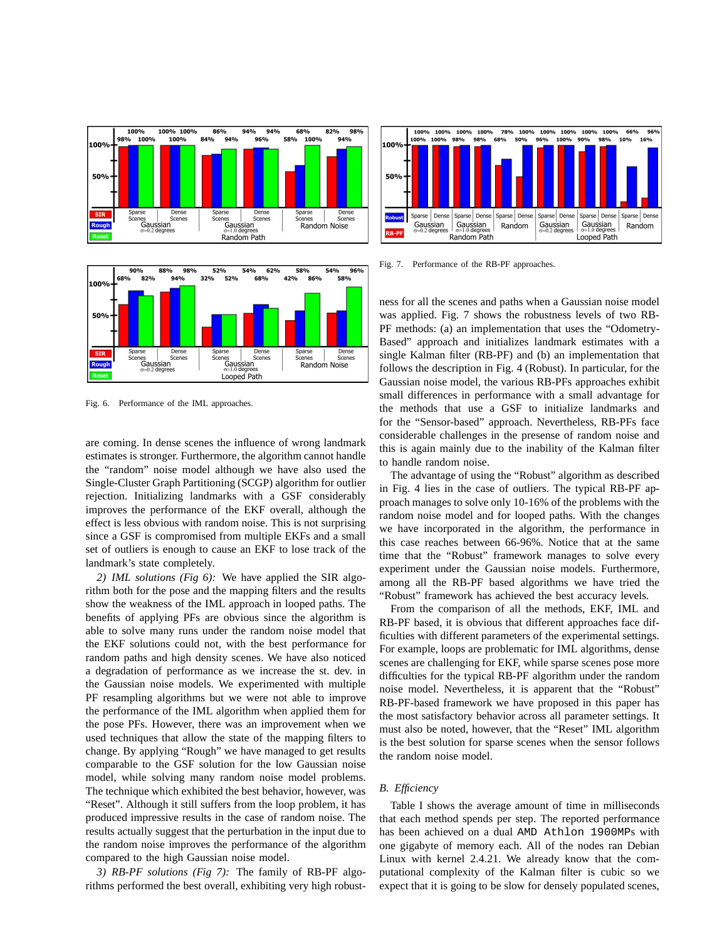



Fig. 6. Performance of the IML approaches.

are coming. In dense scenes the influence of wrong landmark estimates is stronger. Furthermore, the algorithm cannot handle the "random" noise model although we have also used the Single-Cluster Graph Partitioning (SCGP) algorithm for outlier rejection. Initializing landmarks with a GSF considerably improves the performance of the EKF overall, although the effect is less obvious with random noise. This is not surprising since a GSF is compromised from multiple EKFs and a small set of outliers is enough to cause an EKF to lose track of the landmark's state completely.

*2) IML solutions (Fig 6):* We have applied the SIR algorithm both for the pose and the mapping filters and the results show the weakness of the IML approach in looped paths. The benefits of applying PFs are obvious since the algorithm is able to solve many runs under the random noise model that the EKF solutions could not, with the best performance for random paths and high density scenes. We have also noticed a degradation of performance as we increase the st. dev. in the Gaussian noise models. We experimented with multiple PF resampling algorithms but we were not able to improve the performance of the IML algorithm when applied them for the pose PFs. However, there was an improvement when we used techniques that allow the state of the mapping filters to change. By applying "Rough" we have managed to get results comparable to the GSF solution for the low Gaussian noise model, while solving many random noise model problems. The technique which exhibited the best behavior, however, was "Reset". Although it still suffers from the loop problem, it has produced impressive results in the case of random noise. The results actually suggest that the perturbation in the input due to the random noise improves the performance of the algorithm compared to the high Gaussian noise model.

*3) RB-PF solutions (Fig 7):* The family of RB-PF algorithms performed the best overall, exhibiting very high robust-



Fig. 7. Performance of the RB-PF approaches.

ness for all the scenes and paths when a Gaussian noise model was applied. Fig. 7 shows the robustness levels of two RB-PF methods: (a) an implementation that uses the "Odometry-Based" approach and initializes landmark estimates with a single Kalman filter (RB-PF) and (b) an implementation that follows the description in Fig. 4 (Robust). In particular, for the Gaussian noise model, the various RB-PFs approaches exhibit small differences in performance with a small advantage for the methods that use a GSF to initialize landmarks and for the "Sensor-based" approach. Nevertheless, RB-PFs face considerable challenges in the presense of random noise and this is again mainly due to the inability of the Kalman filter to handle random noise.

The advantage of using the "Robust" algorithm as described in Fig. 4 lies in the case of outliers. The typical RB-PF approach manages to solve only 10-16% of the problems with the random noise model and for looped paths. With the changes we have incorporated in the algorithm, the performance in this case reaches between 66-96%. Notice that at the same time that the "Robust" framework manages to solve every experiment under the Gaussian noise models. Furthermore, among all the RB-PF based algorithms we have tried the "Robust" framework has achieved the best accuracy levels.

From the comparison of all the methods, EKF, IML and RB-PF based, it is obvious that different approaches face difficulties with different parameters of the experimental settings. For example, loops are problematic for IML algorithms, dense scenes are challenging for EKF, while sparse scenes pose more difficulties for the typical RB-PF algorithm under the random noise model. Nevertheless, it is apparent that the "Robust" RB-PF-based framework we have proposed in this paper has the most satisfactory behavior across all parameter settings. It must also be noted, however, that the "Reset" IML algorithm is the best solution for sparse scenes when the sensor follows the random noise model.

# *B. Efficiency*

Table I shows the average amount of time in milliseconds that each method spends per step. The reported performance has been achieved on a dual AMD Athlon 1900MPs with one gigabyte of memory each. All of the nodes ran Debian Linux with kernel 2.4.21. We already know that the computational complexity of the Kalman filter is cubic so we expect that it is going to be slow for densely populated scenes,